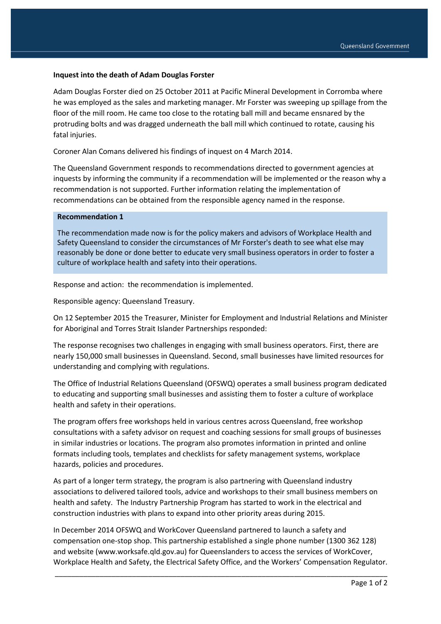## **Inquest into the death of Adam Douglas Forster**

Adam Douglas Forster died on 25 October 2011 at Pacific Mineral Development in Corromba where he was employed as the sales and marketing manager. Mr Forster was sweeping up spillage from the floor of the mill room. He came too close to the rotating ball mill and became ensnared by the protruding bolts and was dragged underneath the ball mill which continued to rotate, causing his fatal injuries.

Coroner Alan Comans delivered his findings of inquest on 4 March 2014.

The Queensland Government responds to recommendations directed to government agencies at inquests by informing the community if a recommendation will be implemented or the reason why a recommendation is not supported. Further information relating the implementation of recommendations can be obtained from the responsible agency named in the response.

## **Recommendation 1**

The recommendation made now is for the policy makers and advisors of Workplace Health and Safety Queensland to consider the circumstances of Mr Forster's death to see what else may reasonably be done or done better to educate very small business operators in order to foster a culture of workplace health and safety into their operations.

Response and action: the recommendation is implemented.

Responsible agency: Queensland Treasury.

On 12 September 2015 the Treasurer, Minister for Employment and Industrial Relations and Minister for Aboriginal and Torres Strait Islander Partnerships responded:

The response recognises two challenges in engaging with small business operators. First, there are nearly 150,000 small businesses in Queensland. Second, small businesses have limited resources for understanding and complying with regulations.

The Office of Industrial Relations Queensland (OFSWQ) operates a small business program dedicated to educating and supporting small businesses and assisting them to foster a culture of workplace health and safety in their operations.

The program offers free workshops held in various centres across Queensland, free workshop consultations with a safety advisor on request and coaching sessions for small groups of businesses in similar industries or locations. The program also promotes information in printed and online formats including tools, templates and checklists for safety management systems, workplace hazards, policies and procedures.

As part of a longer term strategy, the program is also partnering with Queensland industry associations to delivered tailored tools, advice and workshops to their small business members on health and safety. The Industry Partnership Program has started to work in the electrical and construction industries with plans to expand into other priority areas during 2015.

In December 2014 OFSWQ and WorkCover Queensland partnered to launch a safety and compensation one-stop shop. This partnership established a single phone number (1300 362 128) and website (www.worksafe.qld.gov.au) for Queenslanders to access the services of WorkCover, Workplace Health and Safety, the Electrical Safety Office, and the Workers' Compensation Regulator.

\_\_\_\_\_\_\_\_\_\_\_\_\_\_\_\_\_\_\_\_\_\_\_\_\_\_\_\_\_\_\_\_\_\_\_\_\_\_\_\_\_\_\_\_\_\_\_\_\_\_\_\_\_\_\_\_\_\_\_\_\_\_\_\_\_\_\_\_\_\_\_\_\_\_\_\_\_\_\_\_\_\_